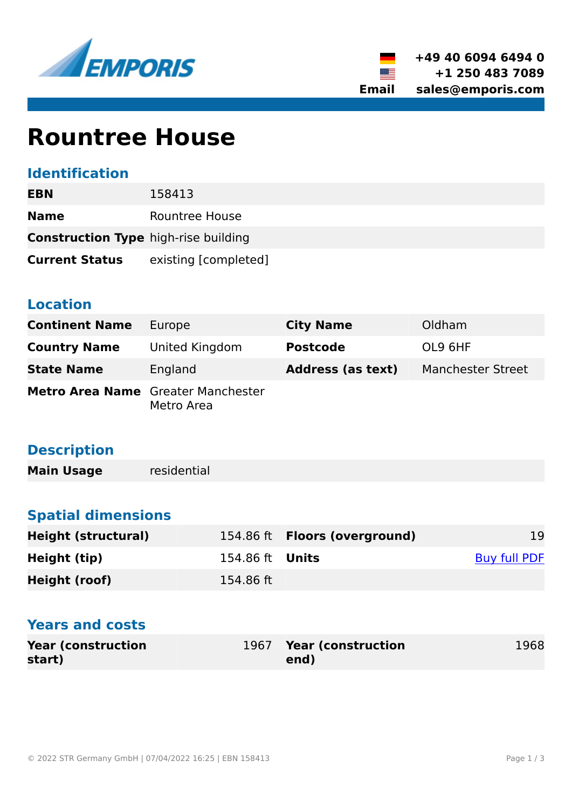



# **Rountree House**

## **Identification**

| <b>EBN</b>                                  | 158413               |  |
|---------------------------------------------|----------------------|--|
| <b>Name</b>                                 | Rountree House       |  |
| <b>Construction Type high-rise building</b> |                      |  |
| <b>Current Status</b>                       | existing [completed] |  |

#### **Location**

| <b>Continent Name</b>                     | Europe         | <b>City Name</b>         | Oldham                   |
|-------------------------------------------|----------------|--------------------------|--------------------------|
| <b>Country Name</b>                       | United Kingdom | <b>Postcode</b>          | OL9 6HF                  |
| <b>State Name</b>                         | England        | <b>Address (as text)</b> | <b>Manchester Street</b> |
| <b>Metro Area Name</b> Greater Manchester | Metro Area     |                          |                          |

# **Description**

**Main Usage** residential

# **Spatial dimensions**

| <b>Height (structural)</b> |                        | 154.86 ft <b>Floors (overground)</b> | 19           |
|----------------------------|------------------------|--------------------------------------|--------------|
| Height (tip)               | 154.86 ft <b>Units</b> |                                      | Buy full PDF |
| Height (roof)              | 154.86 ft              |                                      |              |

# **Years and costs**

| <b>Year (construction)</b> | 1967 Year (construction | 1968 |
|----------------------------|-------------------------|------|
| start)                     | end)                    |      |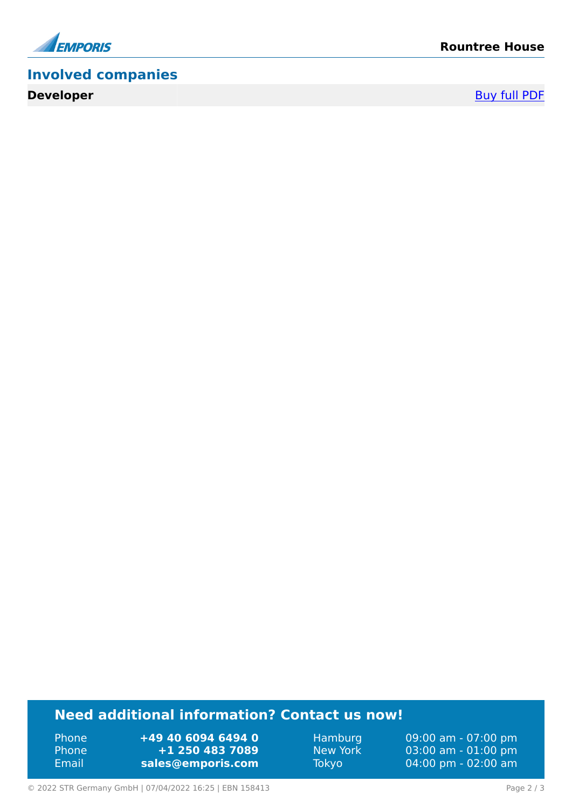

# **Involved companies**

**Developer** [Buy full PDF](https://www.emporis.com/buildings/158413/rountree-house-oldham-united-kingdom?buypdf=)

# **Need additional information? Contact us now!**

Phone **+49 40 6094 6494 0<br>
Phone <b>+1 250 483 7089** Phone **+1 250 483 7089** Email **<sales@emporis.com>**

Hamburg 09:00 am - 07:00 pm<br>New York 03:00 am - 01:00 pm New York 03:00 am - 01:00 pm<br>Tokyo 04:00 pm - 02:00 am 04:00 pm - 02:00 am

© 2022 STR Germany GmbH | 07/04/2022 16:25 | EBN 158413 Page 2 / 3